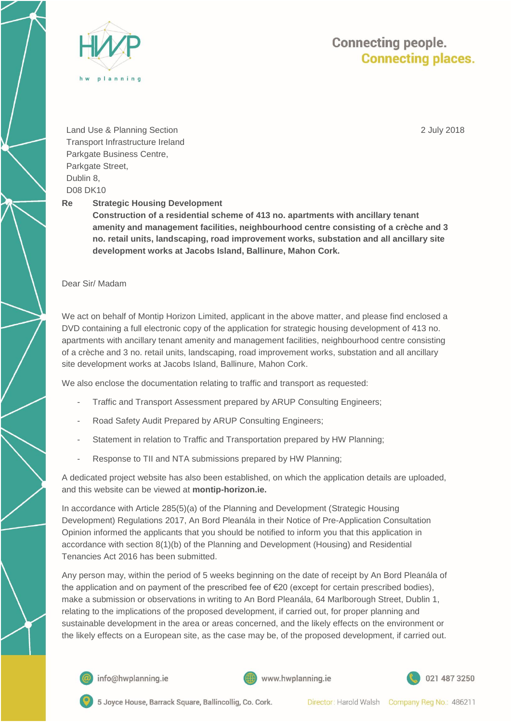

## **Connecting people. Connecting places.**

2 July 2018

Land Use & Planning Section Transport Infrastructure Ireland Parkgate Business Centre, Parkgate Street, Dublin 8, D08 DK10

**Re Strategic Housing Development**

**Construction of a residential scheme of 413 no. apartments with ancillary tenant amenity and management facilities, neighbourhood centre consisting of a crèche and 3 no. retail units, landscaping, road improvement works, substation and all ancillary site development works at Jacobs Island, Ballinure, Mahon Cork.** 

Dear Sir/ Madam

We act on behalf of Montip Horizon Limited, applicant in the above matter, and please find enclosed a DVD containing a full electronic copy of the application for strategic housing development of 413 no. apartments with ancillary tenant amenity and management facilities, neighbourhood centre consisting of a crèche and 3 no. retail units, landscaping, road improvement works, substation and all ancillary site development works at Jacobs Island, Ballinure, Mahon Cork.

We also enclose the documentation relating to traffic and transport as requested:

- Traffic and Transport Assessment prepared by ARUP Consulting Engineers;
- Road Safety Audit Prepared by ARUP Consulting Engineers;
- Statement in relation to Traffic and Transportation prepared by HW Planning;
- Response to TII and NTA submissions prepared by HW Planning;

A dedicated project website has also been established, on which the application details are uploaded, and this website can be viewed at **montip-horizon.ie.**

In accordance with Article 285(5)(a) of the Planning and Development (Strategic Housing Development) Regulations 2017, An Bord Pleanála in their Notice of Pre-Application Consultation Opinion informed the applicants that you should be notified to inform you that this application in accordance with section 8(1)(b) of the Planning and Development (Housing) and Residential Tenancies Act 2016 has been submitted.

Any person may, within the period of 5 weeks beginning on the date of receipt by An Bord Pleanála of the application and on payment of the prescribed fee of €20 (except for certain prescribed bodies), make a submission or observations in writing to An Bord Pleanála, 64 Marlborough Street, Dublin 1, relating to the implications of the proposed development, if carried out, for proper planning and sustainable development in the area or areas concerned, and the likely effects on the environment or the likely effects on a European site, as the case may be, of the proposed development, if carried out.



info@hwplanning.ie